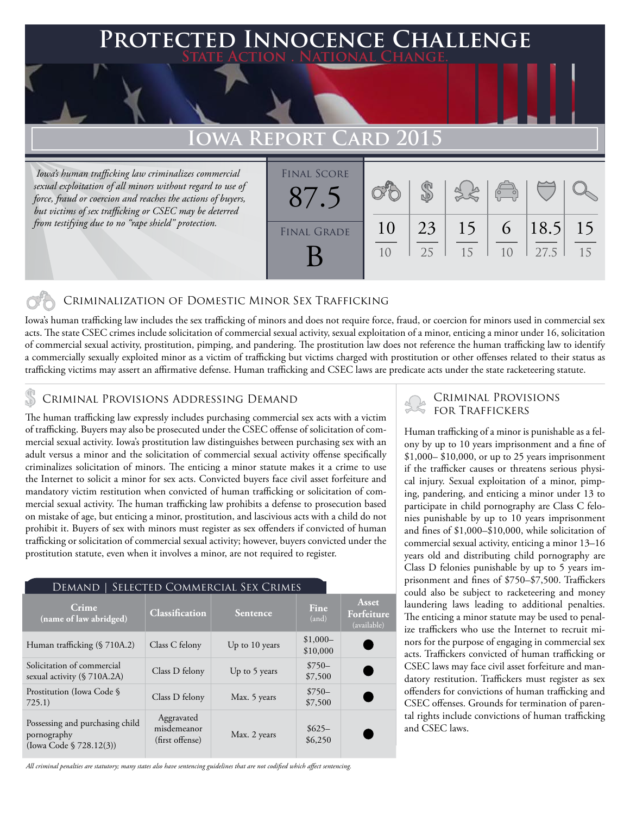## **PTED INNOCENCE CHALLENGE State Action . National Change.**

# WA REPORT **C**

 *Iowa's human trafficking law criminalizes commercial sexual exploitation of all minors without regard to use of force, fraud or coercion and reaches the actions of buyers, but victims of sex trafficking or CSEC may be deterred from testifying due to no "rape shield" protection.*

| <b>FINAL SCORE</b> |                |    |    |                       |      |    |
|--------------------|----------------|----|----|-----------------------|------|----|
|                    |                |    |    | $\sqrt{\frac{1}{10}}$ |      |    |
| <b>FINAL GRADE</b> | 10             | 23 | 15 | 6                     | 18.5 | 15 |
|                    | 1 <sub>0</sub> | 25 | 15 | 1 <sub>0</sub>        | 27.5 | 15 |

### Criminalization of Domestic Minor Sex Trafficking

Iowa's human trafficking law includes the sex trafficking of minors and does not require force, fraud, or coercion for minors used in commercial sex acts. The state CSEC crimes include solicitation of commercial sexual activity, sexual exploitation of a minor, enticing a minor under 16, solicitation of commercial sexual activity, prostitution, pimping, and pandering. The prostitution law does not reference the human trafficking law to identify a commercially sexually exploited minor as a victim of trafficking but victims charged with prostitution or other offenses related to their status as trafficking victims may assert an affirmative defense. Human trafficking and CSEC laws are predicate acts under the state racketeering statute.

The human trafficking law expressly includes purchasing commercial sex acts with a victim of trafficking. Buyers may also be prosecuted under the CSEC offense of solicitation of commercial sexual activity. Iowa's prostitution law distinguishes between purchasing sex with an adult versus a minor and the solicitation of commercial sexual activity offense specifically criminalizes solicitation of minors. The enticing a minor statute makes it a crime to use the Internet to solicit a minor for sex acts. Convicted buyers face civil asset forfeiture and mandatory victim restitution when convicted of human trafficking or solicitation of commercial sexual activity. The human trafficking law prohibits a defense to prosecution based on mistake of age, but enticing a minor, prostitution, and lascivious acts with a child do not prohibit it. Buyers of sex with minors must register as sex offenders if convicted of human trafficking or solicitation of commercial sexual activity; however, buyers convicted under the prostitution statute, even when it involves a minor, are not required to register.

| SELECTED COMMERCIAL SEX CRIMES<br>Demand 1                                |                                              |                 |                       |                                    |  |  |  |  |
|---------------------------------------------------------------------------|----------------------------------------------|-----------------|-----------------------|------------------------------------|--|--|--|--|
| Crime.<br>(name of law abridged)                                          | Classification                               | <b>Sentence</b> | Fine<br>(and)         | Asset<br>Forfeiture<br>(available) |  |  |  |  |
| Human trafficking (§ 710A.2)                                              | Class C felony                               | Up to 10 years  | $$1,000-$<br>\$10,000 |                                    |  |  |  |  |
| Solicitation of commercial<br>sexual activity (§ 710A.2A)                 | Class D felony                               | Up to 5 years   | $$750-$<br>\$7,500    |                                    |  |  |  |  |
| Prostitution (Iowa Code §<br>725.1)                                       | Class D felony                               | Max. 5 years    | $$750-$<br>\$7,500    |                                    |  |  |  |  |
| Possessing and purchasing child<br>pornography<br>(Iowa Code § 728.12(3)) | Aggravated<br>misdemeanor<br>(first offense) | Max. 2 years    | $$625-$<br>\$6,250    |                                    |  |  |  |  |

*All criminal penalties are statutory; many states also have sentencing guidelines that are not codified which affect sentencing.* 

# CRIMINAL PROVISIONS ADDRESSING DEMAND<br>
The contract of the transitional provisions and the contract of the set of the set of the set of the set of the set of the set of the set of the set of the set of the set of the set o

Human trafficking of a minor is punishable as a felony by up to 10 years imprisonment and a fine of \$1,000– \$10,000, or up to 25 years imprisonment if the trafficker causes or threatens serious physical injury. Sexual exploitation of a minor, pimping, pandering, and enticing a minor under 13 to participate in child pornography are Class C felonies punishable by up to 10 years imprisonment and fines of \$1,000–\$10,000, while solicitation of commercial sexual activity, enticing a minor 13–16 years old and distributing child pornography are Class D felonies punishable by up to 5 years imprisonment and fines of \$750–\$7,500. Traffickers could also be subject to racketeering and money laundering laws leading to additional penalties. The enticing a minor statute may be used to penalize traffickers who use the Internet to recruit minors for the purpose of engaging in commercial sex acts. Traffickers convicted of human trafficking or CSEC laws may face civil asset forfeiture and mandatory restitution. Traffickers must register as sex offenders for convictions of human trafficking and CSEC offenses. Grounds for termination of parental rights include convictions of human trafficking and CSEC laws.